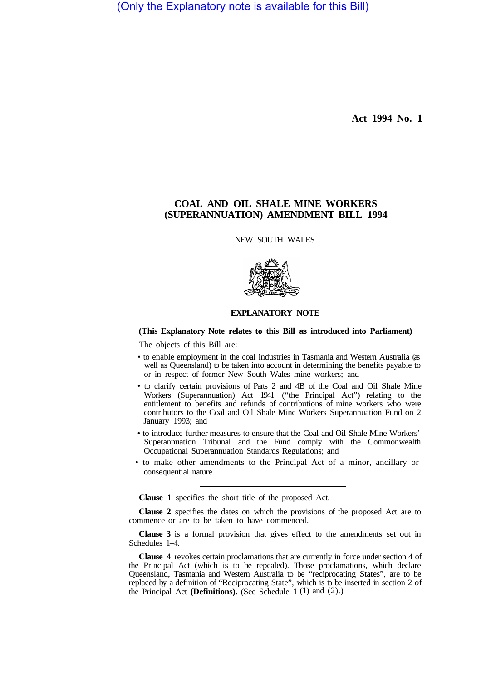(Only the Explanatory note is available for this Bill)

**Act 1994 No. 1**

## **COAL AND OIL SHALE MINE WORKERS (SUPERANNUATION) AMENDMENT BILL 1994**

NEW SOUTH WALES



## **EXPLANATORY NOTE**

## **(This Explanatory Note relates to this Bill as introduced into Parliament)**

The objects of this Bill are:

- to enable employment in the coal industries in Tasmania and Western Australia (as well as Queensland) to be taken into account in determining the benefits payable to or in respect of former New South Wales mine workers; and
- to clarify certain provisions of Parts 2 and 4B of the Coal and Oil Shale Mine Workers (Superannuation) Act 1941 ("the Principal Act") relating to the entitlement to benefits and refunds of contributions of mine workers who were contributors to the Coal and Oil Shale Mine Workers Superannuation Fund on 2 January 1993; and
- to introduce further measures to ensure that the Coal and Oil Shale Mine Workers' Superannuation Tribunal and the Fund comply with the Commonwealth Occupational Superannuation Standards Regulations; and
- to make other amendments to the Principal Act of a minor, ancillary or consequential nature.

**Clause 1** specifies the short title of the proposed Act.

**Clause 2** specifies the dates on which the provisions of the proposed Act are to commence or are to be taken to have commenced.

**Clause 3** is a formal provision that gives effect to the amendments set out in Schedules 1–4.

**Clause 4** revokes certain proclamations that are currently in force under section 4 of the Principal Act (which is to be repealed). Those proclamations, which declare Queensland, Tasmania and Western Australia to be "reciprocating States", are to be replaced by a definition of "Reciprocating State", which is to be inserted in section 2 of the Principal Act **(Definitions).** (See Schedule 1 (1) and (2).)